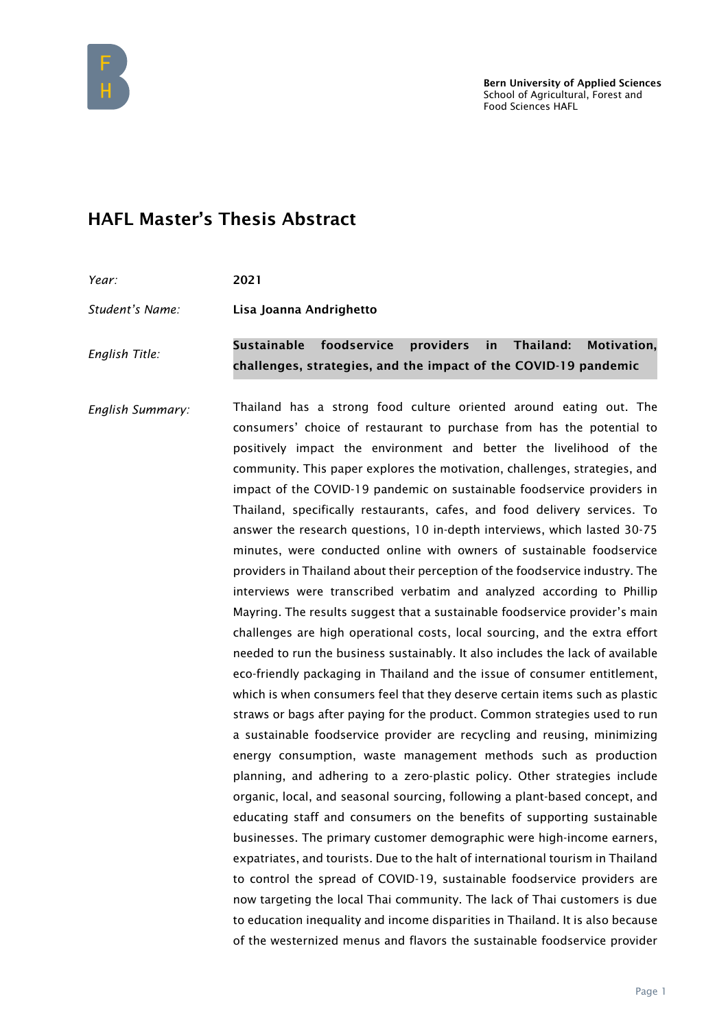

## HAFL Master's Thesis Abstract

| Year:           | 2021                                                                                                                          |
|-----------------|-------------------------------------------------------------------------------------------------------------------------------|
| Student's Name: | Lisa Joanna Andrighetto                                                                                                       |
| English Title:  | Sustainable foodservice providers in Thailand: Motivation,<br>challenges, strategies, and the impact of the COVID-19 pandemic |

*English Summary:* Thailand has a strong food culture oriented around eating out. The consumers' choice of restaurant to purchase from has the potential to positively impact the environment and better the livelihood of the community. This paper explores the motivation, challenges, strategies, and impact of the COVID-19 pandemic on sustainable foodservice providers in Thailand, specifically restaurants, cafes, and food delivery services. To answer the research questions, 10 in-depth interviews, which lasted 30-75 minutes, were conducted online with owners of sustainable foodservice providers in Thailand about their perception of the foodservice industry. The interviews were transcribed verbatim and analyzed according to Phillip Mayring. The results suggest that a sustainable foodservice provider's main challenges are high operational costs, local sourcing, and the extra effort needed to run the business sustainably. It also includes the lack of available eco-friendly packaging in Thailand and the issue of consumer entitlement, which is when consumers feel that they deserve certain items such as plastic straws or bags after paying for the product. Common strategies used to run a sustainable foodservice provider are recycling and reusing, minimizing energy consumption, waste management methods such as production planning, and adhering to a zero-plastic policy. Other strategies include organic, local, and seasonal sourcing, following a plant-based concept, and educating staff and consumers on the benefits of supporting sustainable businesses. The primary customer demographic were high-income earners, expatriates, and tourists. Due to the halt of international tourism in Thailand to control the spread of COVID-19, sustainable foodservice providers are now targeting the local Thai community. The lack of Thai customers is due to education inequality and income disparities in Thailand. It is also because of the westernized menus and flavors the sustainable foodservice provider